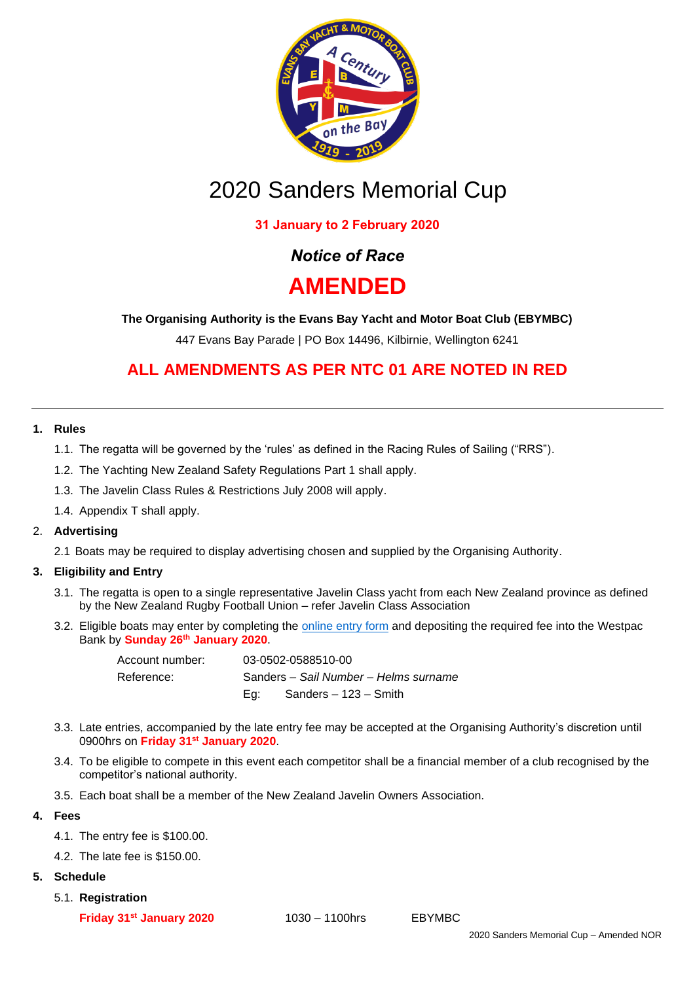

# 2020 Sanders Memorial Cup

# **31 January to 2 February 2020**

# *Notice of Race*

# **AMENDED**

**The Organising Authority is the Evans Bay Yacht and Motor Boat Club (EBYMBC)**

447 Evans Bay Parade | PO Box 14496, Kilbirnie, Wellington 6241

# **ALL AMENDMENTS AS PER NTC 01 ARE NOTED IN RED**

# **1. Rules**

- 1.1. The regatta will be governed by the 'rules' as defined in the Racing Rules of Sailing ("RRS").
- 1.2. The Yachting New Zealand Safety Regulations Part 1 shall apply.
- 1.3. The Javelin Class Rules & Restrictions July 2008 will apply.
- 1.4. Appendix T shall apply.

# 2. **Advertising**

2.1 Boats may be required to display advertising chosen and supplied by the Organising Authority.

# **3. Eligibility and Entry**

- 3.1. The regatta is open to a single representative Javelin Class yacht from each New Zealand province as defined by the New Zealand Rugby Football Union – refer Javelin Class Association
- 3.2. Eligible boats may enter by completing the [online entry](https://forms.gle/LjNvM5TKS2FsTJ2s7) form and depositing the required fee into the Westpac Bank by **Sunday 26th January 2020**.

| Account number: |                                       | 03-0502-0588510-00    |
|-----------------|---------------------------------------|-----------------------|
| Reference:      | Sanders - Sail Number - Helms surname |                       |
|                 | Ea: L                                 | Sanders – 123 – Smith |

- 3.3. Late entries, accompanied by the late entry fee may be accepted at the Organising Authority's discretion until 0900hrs on **Friday 31st January 2020**.
- 3.4. To be eligible to compete in this event each competitor shall be a financial member of a club recognised by the competitor's national authority.
- 3.5. Each boat shall be a member of the New Zealand Javelin Owners Association.

# **4. Fees**

- 4.1. The entry fee is \$100.00.
- 4.2. The late fee is \$150.00.

#### **5. Schedule**

5.1. **Registration**

**Friday 31st January 2020** 1030 – 1100hrs EBYMBC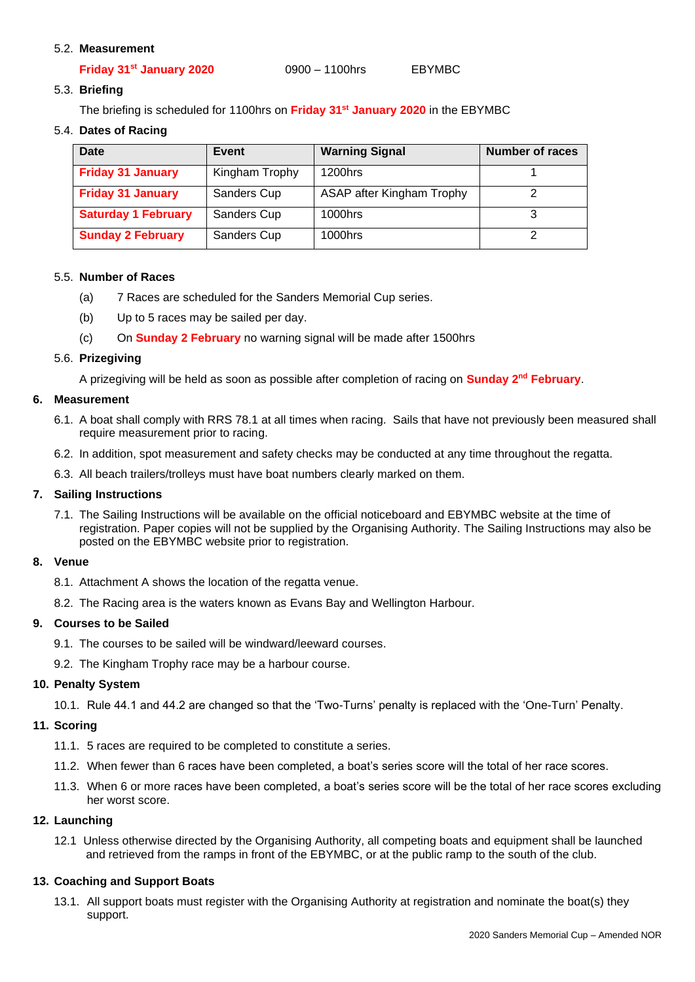#### 5.2. **Measurement**

| Friday 31 <sup>st</sup> January 2020 | $0900 - 1100$ hrs | <b>EBYMBC</b> |
|--------------------------------------|-------------------|---------------|
|                                      |                   |               |

5.3. **Briefing** 

The briefing is scheduled for 1100hrs on **Friday 31st January 2020** in the EBYMBC

5.4. **Dates of Racing**

| Date                       | Event          | <b>Warning Signal</b>     | <b>Number of races</b> |
|----------------------------|----------------|---------------------------|------------------------|
| <b>Friday 31 January</b>   | Kingham Trophy | 1200hrs                   |                        |
| <b>Friday 31 January</b>   | Sanders Cup    | ASAP after Kingham Trophy |                        |
| <b>Saturday 1 February</b> | Sanders Cup    | 1000hrs                   |                        |
| <b>Sunday 2 February</b>   | Sanders Cup    | 1000hrs                   |                        |

#### 5.5. **Number of Races**

- (a) 7 Races are scheduled for the Sanders Memorial Cup series.
- (b) Up to 5 races may be sailed per day.
- (c) On **Sunday 2 February** no warning signal will be made after 1500hrs

#### 5.6. **Prizegiving**

A prizegiving will be held as soon as possible after completion of racing on **Sunday 2<sup>nd</sup> February**.

#### **6. Measurement**

- 6.1. A boat shall comply with RRS 78.1 at all times when racing. Sails that have not previously been measured shall require measurement prior to racing.
- 6.2. In addition, spot measurement and safety checks may be conducted at any time throughout the regatta.
- 6.3. All beach trailers/trolleys must have boat numbers clearly marked on them.

#### **7. Sailing Instructions**

7.1. The Sailing Instructions will be available on the official noticeboard and EBYMBC website at the time of registration. Paper copies will not be supplied by the Organising Authority. The Sailing Instructions may also be posted on the EBYMBC website prior to registration.

# **8. Venue**

- 8.1. Attachment A shows the location of the regatta venue.
- 8.2. The Racing area is the waters known as Evans Bay and Wellington Harbour.

# **9. Courses to be Sailed**

- 9.1. The courses to be sailed will be windward/leeward courses.
- 9.2. The Kingham Trophy race may be a harbour course.

# **10. Penalty System**

10.1. Rule 44.1 and 44.2 are changed so that the 'Two-Turns' penalty is replaced with the 'One-Turn' Penalty.

# **11. Scoring**

- 11.1. 5 races are required to be completed to constitute a series.
- 11.2. When fewer than 6 races have been completed, a boat's series score will the total of her race scores.
- 11.3. When 6 or more races have been completed, a boat's series score will be the total of her race scores excluding her worst score.

# **12. Launching**

12.1 Unless otherwise directed by the Organising Authority, all competing boats and equipment shall be launched and retrieved from the ramps in front of the EBYMBC, or at the public ramp to the south of the club.

# **13. Coaching and Support Boats**

13.1. All support boats must register with the Organising Authority at registration and nominate the boat(s) they support.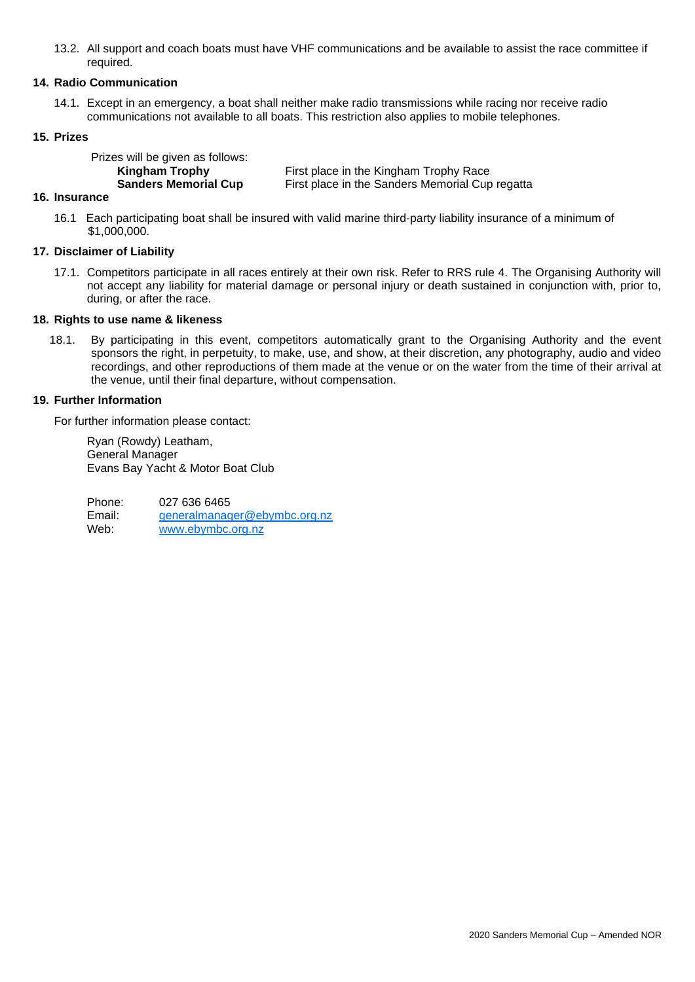13.2. All support and coach boats must have VHF communications and be available to assist the race committee if required.

#### **14. Radio Communication**

14.1. Except in an emergency, a boat shall neither make radio transmissions while racing nor receive radio communications not available to all boats. This restriction also applies to mobile telephones.

#### **15. Prizes**

| Prizes will be given as follows: |                                                 |
|----------------------------------|-------------------------------------------------|
| Kingham Trophy                   | First place in the Kingham Trophy Race          |
| <b>Sanders Memorial Cup</b>      | First place in the Sanders Memorial Cup regatta |

#### **16. Insurance**

16.1Each participating boat shall be insured with valid marine third-party liability insurance of a minimum of \$1,000,000.

#### **17. Disclaimer of Liability**

17.1. Competitors participate in all races entirely at their own risk. Refer to RRS rule 4. The Organising Authority will not accept any liability for material damage or personal injury or death sustained in conjunction with, prior to, during, or after the race.

#### **18. Rights to use name & likeness**

18.1. By participating in this event, competitors automatically grant to the Organising Authority and the event sponsors the right, in perpetuity, to make, use, and show, at their discretion, any photography, audio and video recordings, and other reproductions of them made at the venue or on the water from the time of their arrival at the venue, until their final departure, without compensation.

#### **19. Further Information**

For further information please contact:

Ryan (Rowdy) Leatham, General Manager Evans Bay Yacht & Motor Boat Club

Phone: 027 636 6465 Email: [generalmanager@ebymbc.org.nz](mailto:generalmanager@ebymbc.org.nz)<br>Web: www.ebymbc.org.nz [www.ebymbc.org.nz](http://www.ebymbc.org.nz/)